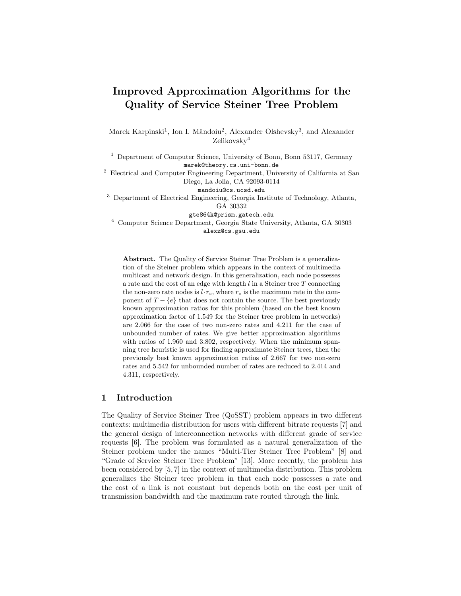# **Improved Approximation Algorithms for the Quality of Service Steiner Tree Problem**

Marek Karpinski<sup>1</sup>, Ion I. Măndoiu<sup>2</sup>, Alexander Olshevsky<sup>3</sup>, and Alexander Zelikovsky<sup>4</sup>

<sup>1</sup> Department of Computer Science, University of Bonn, Bonn 53117, Germany marek@theory.cs.uni-bonn.de

<sup>2</sup> Electrical and Computer Engineering Department, University of California at San Diego, La Jolla, CA 92093-0114

mandoiu@cs.ucsd.edu

<sup>3</sup> Department of Electrical Engineering, Georgia Institute of Technology, Atlanta, GA 30332

gte864k@prism.gatech.edu

<sup>4</sup> Computer Science Department, Georgia State University, Atlanta, GA 30303 alexz@cs.gsu.edu

**Abstract.** The Quality of Service Steiner Tree Problem is a generalization of the Steiner problem which appears in the context of multimedia multicast and network design. In this generalization, each node possesses a rate and the cost of an edge with length  $l$  in a Steiner tree  $T$  connecting the non-zero rate nodes is  $l \cdot r_e$ , where  $r_e$  is the maximum rate in the component of  $T - \{e\}$  that does not contain the source. The best previously known approximation ratios for this problem (based on the best known approximation factor of 1.549 for the Steiner tree problem in networks) are 2.066 for the case of two non-zero rates and 4.211 for the case of unbounded number of rates. We give better approximation algorithms with ratios of 1.960 and 3.802, respectively. When the minimum spanning tree heuristic is used for finding approximate Steiner trees, then the previously best known approximation ratios of 2.667 for two non-zero rates and 5.542 for unbounded number of rates are reduced to 2.414 and 4.311, respectively.

### **1 Introduction**

The Quality of Service Steiner Tree (QoSST) problem appears in two different contexts: multimedia distribution for users with different bitrate requests [7] and the general design of interconnection networks with different grade of service requests [6]. The problem was formulated as a natural generalization of the Steiner problem under the names "Multi-Tier Steiner Tree Problem" [8] and "Grade of Service Steiner Tree Problem" [13]. More recently, the problem has been considered by [5, 7] in the context of multimedia distribution. This problem generalizes the Steiner tree problem in that each node possesses a rate and the cost of a link is not constant but depends both on the cost per unit of transmission bandwidth and the maximum rate routed through the link.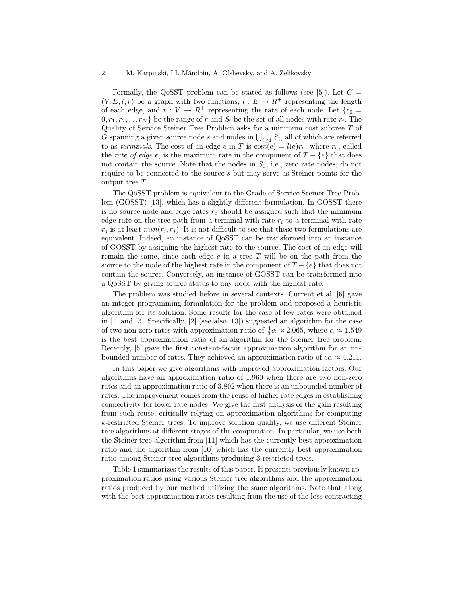#### 2 M. Karpinski, I.I. Măndoiu, A. Olshevsky, and A. Zelikovsky

Formally, the QoSST problem can be stated as follows (see [5]). Let  $G =$  $(V, E, l, r)$  be a graph with two functions,  $l : E \to R^+$  representing the length of each edge, and  $r: V \to R^+$  representing the rate of each node. Let  $\{r_0 =$  $0, r_1, r_2, \ldots r_N$  be the range of r and  $S_i$  be the set of all nodes with rate  $r_i$ . The Quality of Service Steiner Tree Problem asks for a minimum cost subtree  $T$  of G spanning a given source node s and nodes in  $\bigcup_{i \geq 1} S_i$ , all of which are referred to as *terminals*. The cost of an edge e in T is  $\cos(\epsilon) = l(e)r_e$ , where  $r_e$ , called the *rate of edge* e, is the maximum rate in the component of  $T - \{e\}$  that does not contain the source. Note that the nodes in  $S_0$ , i.e., zero rate nodes, do not require to be connected to the source s but may serve as Steiner points for the output tree  $T$ .

The QoSST problem is equivalent to the Grade of Service Steiner Tree Problem (GOSST) [13], which has a slightly different formulation. In GOSST there is no source node and edge rates  $r_e$  should be assigned such that the minimum edge rate on the tree path from a terminal with rate  $r_i$  to a terminal with rate  $r_i$  is at least  $min(r_i, r_j)$ . It is not difficult to see that these two formulations are equivalent. Indeed, an instance of QoSST can be transformed into an instance of GOSST by assigning the highest rate to the source. The cost of an edge will remain the same, since each edge  $e$  in a tree  $T$  will be on the path from the source to the node of the highest rate in the component of  $T - \{e\}$  that does not contain the source. Conversely, an instance of GOSST can be transformed into a QoSST by giving source status to any node with the highest rate.

The problem was studied before in several contexts. Current et al. [6] gave an integer programming formulation for the problem and proposed a heuristic algorithm for its solution. Some results for the case of few rates were obtained in [1] and [2]. Specifically, [2] (see also [13]) suggested an algorithm for the case of two non-zero rates with approximation ratio of  $\frac{4}{3}\alpha \approx 2.065$ , where  $\alpha \approx 1.549$ is the best approximation ratio of an algorithm for the Steiner tree problem. Recently, [5] gave the first constant-factor approximation algorithm for an unbounded number of rates. They achieved an approximation ratio of  $e\alpha \approx 4.211$ .

In this paper we give algorithms with improved approximation factors. Our algorithms have an approximation ratio of 1.960 when there are two non-zero rates and an approximation ratio of 3.802 when there is an unbounded number of rates. The improvement comes from the reuse of higher rate edges in establishing connectivity for lower rate nodes. We give the first analysis of the gain resulting from such reuse, critically relying on approximation algorithms for computing k-restricted Steiner trees. To improve solution quality, we use different Steiner tree algorithms at different stages of the computation. In particular, we use both the Steiner tree algorithm from [11] which has the currently best approximation ratio and the algorithm from [10] which has the currently best approximation ratio among Steiner tree algorithms producing 3-restricted trees.

Table 1 summarizes the results of this paper. It presents previously known approximation ratios using various Steiner tree algorithms and the approximation ratios produced by our method utilizing the same algorithms. Note that along with the best approximation ratios resulting from the use of the loss-contracting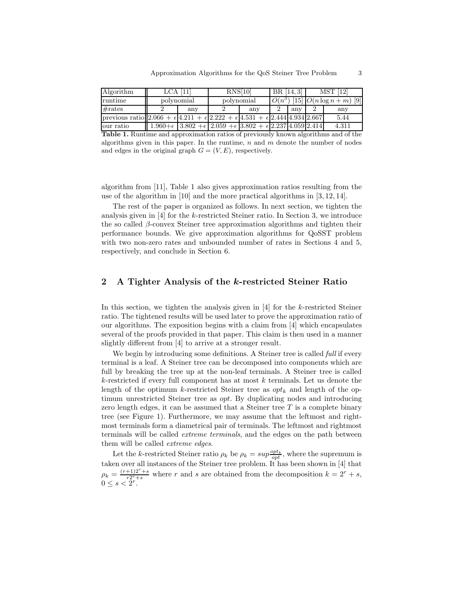| Algorithm                                                                                                      | LCA [11]   |     | RNS[10]                                                                                       |     | BR [14, 3] |     | MST [12]                            |        |
|----------------------------------------------------------------------------------------------------------------|------------|-----|-----------------------------------------------------------------------------------------------|-----|------------|-----|-------------------------------------|--------|
| runtime                                                                                                        | polynomial |     | polynomial                                                                                    |     |            |     | $O(n^3)$ [15] $O(n \log n + m)$ [9] |        |
| #rates                                                                                                         |            | any |                                                                                               | any |            | any |                                     | any    |
| previous ratio $ 2.066 + \epsilon  4.211 + \epsilon  2.222 + \epsilon  4.531 + \epsilon  2.444  4.934  2.667 $ |            |     |                                                                                               |     |            |     |                                     | 5.44   |
| our ratio                                                                                                      |            |     | $1.960 + \epsilon$ 3.802 + $\epsilon$ 2.059 + $\epsilon$ 3.802 + $\epsilon$ 2.237 4.059 2.414 |     |            |     |                                     | 4.311  |
| ---                                                                                                            |            |     |                                                                                               |     |            |     | $\cdots$                            | $\sim$ |

**Table 1.** Runtime and approximation ratios of previously known algorithms and of the algorithms given in this paper. In the runtime,  $n$  and  $m$  denote the number of nodes and edges in the original graph  $G = (V, E)$ , respectively.

algorithm from [11], Table 1 also gives approximation ratios resulting from the use of the algorithm in [10] and the more practical algorithms in [3, 12, 14].

The rest of the paper is organized as follows. In next section, we tighten the analysis given in [4] for the k-restricted Steiner ratio. In Section 3, we introduce the so called β-convex Steiner tree approximation algorithms and tighten their performance bounds. We give approximation algorithms for QoSST problem with two non-zero rates and unbounded number of rates in Sections 4 and 5, respectively, and conclude in Section 6.

#### **2 A Tighter Analysis of the** *k***-restricted Steiner Ratio**

In this section, we tighten the analysis given in [4] for the k-restricted Steiner ratio. The tightened results will be used later to prove the approximation ratio of our algorithms. The exposition begins with a claim from [4] which encapsulates several of the proofs provided in that paper. This claim is then used in a manner slightly different from [4] to arrive at a stronger result.

We begin by introducing some definitions. A Steiner tree is called *full* if every terminal is a leaf. A Steiner tree can be decomposed into components which are full by breaking the tree up at the non-leaf terminals. A Steiner tree is called  $k$ -restricted if every full component has at most  $k$  terminals. Let us denote the length of the optimum k-restricted Steiner tree as  $opt_k$  and length of the optimum unrestricted Steiner tree as opt. By duplicating nodes and introducing zero length edges, it can be assumed that a Steiner tree  $T$  is a complete binary tree (see Figure 1). Furthermore, we may assume that the leftmost and rightmost terminals form a diametrical pair of terminals. The leftmost and rightmost terminals will be called *extreme terminals*, and the edges on the path between them will be called *extreme edges*.

Let the k-restricted Steiner ratio  $\rho_k$  be  $\rho_k = \sup_{i \in \mathcal{D}} \frac{opt}{opt}$ , where the supremum is taken over all instances of the Steiner tree problem. It has been shown in [4] that  $\rho_k = \frac{(r+1)2^r+s}{r2^r+s}$  where r and s are obtained from the decomposition  $k = 2^r + s$ ,  $0 \le s < 2^r$ .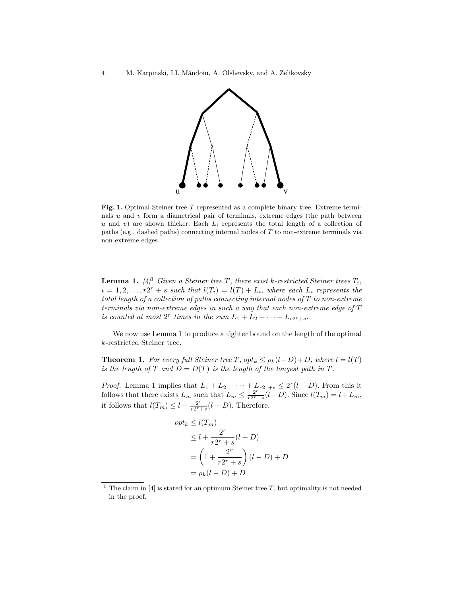

Fig. 1. Optimal Steiner tree T represented as a complete binary tree. Extreme terminals  $u$  and  $v$  form a diametrical pair of terminals, extreme edges (the path between u and v) are shown thicker. Each  $L_i$  represents the total length of a collection of paths (e.g., dashed paths) connecting internal nodes of T to non-extreme terminals via non-extreme edges.

**Lemma 1.**  $[4]^1$  *Given a Steiner tree*  $T$ *, there exist k-restricted Steiner trees*  $T_i$ *,*  $i = 1, 2, \ldots, r2^r + s$  *such that*  $l(T_i) = l(T) + L_i$ *, where each*  $L_i$  *represents the total length of a collection of paths connecting internal nodes of* T *to non-extreme terminals via non-extreme edges in such a way that each non-extreme edge of* T *is counted at most*  $2^r$  *times in the sum*  $L_1 + L_2 + \cdots + L_{r2^r+s}$ .

We now use Lemma 1 to produce a tighter bound on the length of the optimal k-restricted Steiner tree.

**Theorem 1.** *For every full Steiner tree*  $T$ *,*  $opt_k \leq p_k(l-D)+D$ *, where*  $l = l(T)$ *is the length of*  $T$  *and*  $D = D(T)$  *is the length of the longest path in*  $T$ *.* 

*Proof.* Lemma 1 implies that  $L_1 + L_2 + \cdots + L_{r2^r+s} \leq 2^r(l-D)$ . From this it follows that there exists  $L_m$  such that  $L_m \leq \frac{2^{r-1}}{r2^{r+1}}(l-D)$ . Since  $l(T_m) = l + L_m$ , it follows that  $l(T_m) \leq l + \frac{2^r}{r2^r+s}(l-D)$ . Therefore,

$$
opt_k \le l(T_m)
$$
  
\n
$$
\le l + \frac{2^r}{r2^r + s}(l - D)
$$
  
\n
$$
= \left(1 + \frac{2^r}{r2^r + s}\right)(l - D) + D
$$
  
\n
$$
= \rho_k(l - D) + D
$$

<sup>&</sup>lt;sup>1</sup> The claim in [4] is stated for an optimum Steiner tree  $T$ , but optimality is not needed in the proof.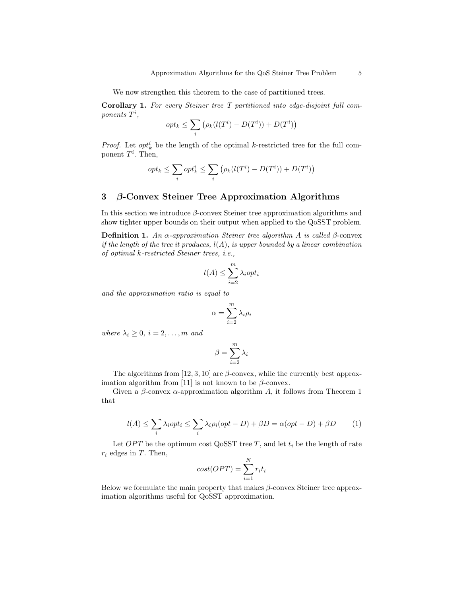We now strengthen this theorem to the case of partitioned trees.

**Corollary 1.** *For every Steiner tree T partitioned into edge-disjoint full com-* $\emph{ponents}$   $\dot{T}^i$ ,

$$
opt_k \leq \sum_i (\rho_k(l(T^i) - D(T^i)) + D(T^i))
$$

*Proof.* Let  $opt_k^i$  be the length of the optimal k-restricted tree for the full component  $T^i$ . Then,

$$
opt_k \leq \sum_i opt_k^i \leq \sum_i (\rho_k(l(T^i) - D(T^i)) + D(T^i))
$$

#### **3** *β***-Convex Steiner Tree Approximation Algorithms**

In this section we introduce  $\beta$ -convex Steiner tree approximation algorithms and show tighter upper bounds on their output when applied to the QoSST problem.

**Definition 1.** An  $\alpha$ -approximation Steiner tree algorithm A is called  $\beta$ -convex *if the length of the tree it produces,* l(A)*, is upper bounded by a linear combination of optimal* k*-restricted Steiner trees, i.e.,*

$$
l(A) \le \sum_{i=2}^{m} \lambda_i opt_i
$$

*and the approximation ratio is equal to*

$$
\alpha = \sum_{i=2}^{m} \lambda_i \rho_i
$$

*where*  $\lambda_i \geq 0$ ,  $i = 2, \ldots, m$  *and* 

$$
\beta = \sum_{i=2}^m \lambda_i
$$

The algorithms from [12, 3, 10] are  $\beta$ -convex, while the currently best approximation algorithm from [11] is not known to be  $\beta$ -convex.

Given a  $\beta$ -convex  $\alpha$ -approximation algorithm A, it follows from Theorem 1 that

$$
l(A) \le \sum_{i} \lambda_i opt_i \le \sum_{i} \lambda_i \rho_i (opt - D) + \beta D = \alpha (opt - D) + \beta D \tag{1}
$$

Let  $OPT$  be the optimum cost QoSST tree T, and let  $t_i$  be the length of rate  $r_i$  edges in T. Then,

$$
cost(OPT) = \sum_{i=1}^{N} r_i t_i
$$

Below we formulate the main property that makes  $\beta$ -convex Steiner tree approximation algorithms useful for QoSST approximation.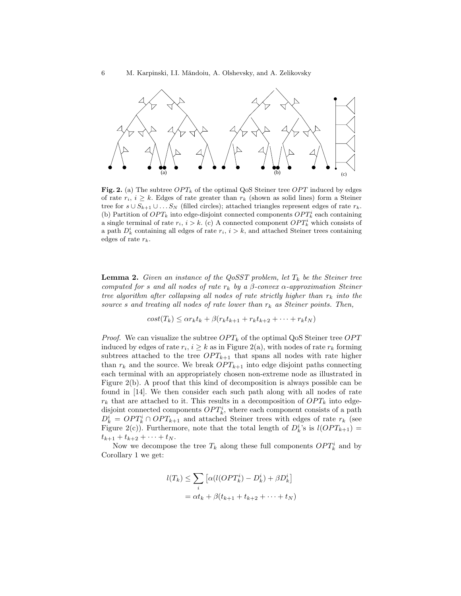

**Fig. 2.** (a) The subtree  $OPT_k$  of the optimal QoS Steiner tree  $OPT$  induced by edges of rate  $r_i$ ,  $i \geq k$ . Edges of rate greater than  $r_k$  (shown as solid lines) form a Steiner tree for  $s \cup S_{k+1} \cup \ldots S_N$  (filled circles); attached triangles represent edges of rate  $r_k$ . (b) Partition of  $OPT_k$  into edge-disjoint connected components  $OPT_k^i$  each containing a single terminal of rate  $r_i$ ,  $i > k$ . (c) A connected component  $OPT_k^i$  which consists of a path  $D_k^i$  containing all edges of rate  $r_i$ ,  $i>k$ , and attached Steiner trees containing edges of rate  $r_k$ .

**Lemma 2.** *Given an instance of the QoSST problem, let*  $T_k$  *be the Steiner tree computed for* s and all nodes of rate  $r_k$  by a  $\beta$ -convex  $\alpha$ -approximation Steiner *tree algorithm after collapsing all nodes of rate strictly higher than*  $r_k$  *into the source* s and treating all nodes of rate lower than  $r_k$  as Steiner points. Then,

$$
cost(T_k) \leq \alpha r_k t_k + \beta(r_k t_{k+1} + r_k t_{k+2} + \dots + r_k t_N)
$$

*Proof.* We can visualize the subtree  $OPT_k$  of the optimal QoS Steiner tree  $OPT$ induced by edges of rate  $r_i$ ,  $i \geq k$  as in Figure 2(a), with nodes of rate  $r_k$  forming subtrees attached to the tree  $OPT_{k+1}$  that spans all nodes with rate higher than  $r_k$  and the source. We break  $OPT_{k+1}$  into edge disjoint paths connecting each terminal with an appropriately chosen non-extreme node as illustrated in Figure 2(b). A proof that this kind of decomposition is always possible can be found in [14]. We then consider each such path along with all nodes of rate  $r_k$  that are attached to it. This results in a decomposition of  $OPT_k$  into edgedisjoint connected components  $OPT_k^i$ , where each component consists of a path  $D_k^i = OPT_k^i \cap OPT_{k+1}$  and attached Steiner trees with edges of rate  $r_k$  (see Figure 2(c)). Furthermore, note that the total length of  $D_k^{i}$ 's is  $l(OPT_{k+1})$  =  $t_{k+1} + t_{k+2} + \cdots + t_N$ .

Now we decompose the tree  $T_k$  along these full components  $OPT_k^i$  and by Corollary 1 we get:

$$
l(T_k) \leq \sum_i \left[ \alpha (l(OPT_k^i) - D_k^i) + \beta D_k^i \right]
$$
  
=  $\alpha t_k + \beta (t_{k+1} + t_{k+2} + \dots + t_N)$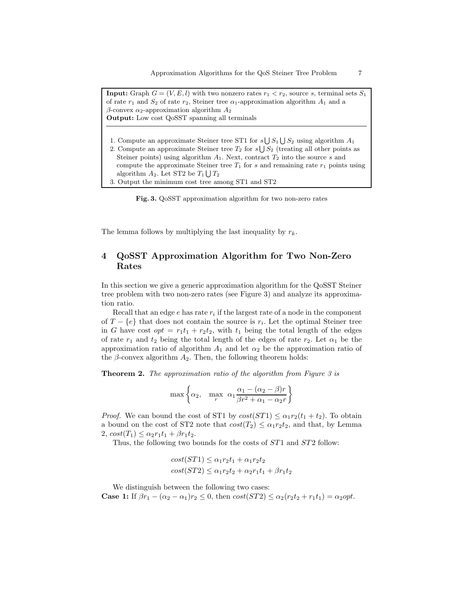**Input:** Graph  $G = (V, E, l)$  with two nonzero rates  $r_1 < r_2$ , source s, terminal sets  $S_1$ of rate  $r_1$  and  $S_2$  of rate  $r_2$ , Steiner tree  $\alpha_1$ -approximation algorithm  $A_1$  and a β-convex  $α_2$ -approximation algorithm  $A_2$ **Output:** Low cost QoSST spanning all terminals

- 1. Compute an approximate Steiner tree ST1 for  $s \bigcup S_1 \bigcup S_2$  using algorithm  $A_1$
- 2. Compute an approximate Steiner tree  $T_2$  for  $s \bigcup S_2$  (treating all other points as Steiner points) using algorithm  $A_1$ . Next, contract  $T_2$  into the source s and compute the approximate Steiner tree  $T_1$  for s and remaining rate  $r_1$  points using algorithm  $A_2$ . Let ST2 be  $T_1 \bigcup T_2$
- 3. Output the minimum cost tree among ST1 and ST2

**Fig. 3.** QoSST approximation algorithm for two non-zero rates

The lemma follows by multiplying the last inequality by  $r_k$ .

## **4 QoSST Approximation Algorithm for Two Non-Zero Rates**

In this section we give a generic approximation algorithm for the QoSST Steiner tree problem with two non-zero rates (see Figure 3) and analyze its approximation ratio.

Recall that an edge  $e$  has rate  $r_i$  if the largest rate of a node in the component of  $T - \{e\}$  that does not contain the source is  $r_i$ . Let the optimal Steiner tree in G have cost  $opt = r_1t_1 + r_2t_2$ , with  $t_1$  being the total length of the edges of rate  $r_1$  and  $t_2$  being the total length of the edges of rate  $r_2$ . Let  $\alpha_1$  be the approximation ratio of algorithm  $A_1$  and let  $\alpha_2$  be the approximation ratio of the  $\beta$ -convex algorithm  $A_2$ . Then, the following theorem holds:

**Theorem 2.** *The approximation ratio of the algorithm from Figure 3 is*

$$
\max \left\{ \alpha_2, \max_r \alpha_1 \frac{\alpha_1 - (\alpha_2 - \beta)r}{\beta r^2 + \alpha_1 - \alpha_2 r} \right\}
$$

*Proof.* We can bound the cost of ST1 by  $cost(ST1) \leq \alpha_1 r_2(t_1 + t_2)$ . To obtain a bound on the cost of ST2 note that  $cost(T_2) \leq \alpha_1 r_2 t_2$ , and that, by Lemma 2,  $cost(T_1) \leq \alpha_2 r_1 t_1 + \beta r_1 t_2$ .

Thus, the following two bounds for the costs of  $ST1$  and  $ST2$  follow:

$$
cost(ST1) \leq \alpha_1 r_2 t_1 + \alpha_1 r_2 t_2
$$

$$
cost(ST2) \leq \alpha_1 r_2 t_2 + \alpha_2 r_1 t_1 + \beta r_1 t_2
$$

We distinguish between the following two cases: **Case 1:** If  $\beta r_1 - (\alpha_2 - \alpha_1) r_2 \leq 0$ , then  $\cos\theta (ST2) \leq \alpha_2 (r_2 t_2 + r_1 t_1) = \alpha_2 \text{opt.}$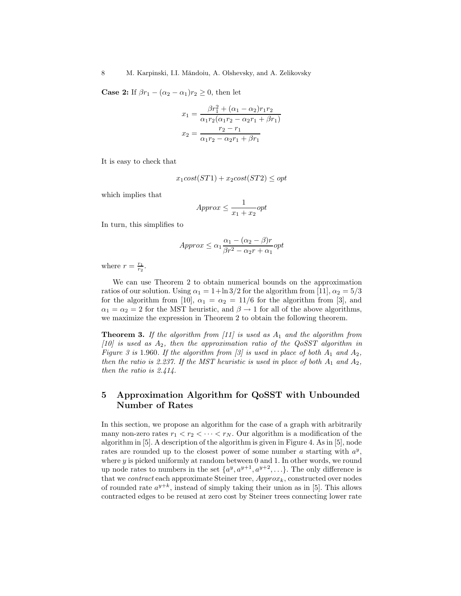**Case 2:** If  $\beta r_1 - (\alpha_2 - \alpha_1) r_2 \geq 0$ , then let

$$
x_1 = \frac{\beta r_1^2 + (\alpha_1 - \alpha_2) r_1 r_2}{\alpha_1 r_2 (\alpha_1 r_2 - \alpha_2 r_1 + \beta r_1)}
$$

$$
x_2 = \frac{r_2 - r_1}{\alpha_1 r_2 - \alpha_2 r_1 + \beta r_1}
$$

It is easy to check that

$$
x_1 cost(ST1) + x_2 cost(ST2) \le opt
$$

which implies that

$$
Approx \le \frac{1}{x_1 + x_2} opt
$$

In turn, this simplifies to

$$
Approx \le \alpha_1 \frac{\alpha_1 - (\alpha_2 - \beta)r}{\beta r^2 - \alpha_2 r + \alpha_1} opt
$$

where  $r = \frac{r_1}{r_2}$ .

We can use Theorem 2 to obtain numerical bounds on the approximation ratios of our solution. Using  $\alpha_1 = 1 + \ln 3/2$  for the algorithm from [11],  $\alpha_2 = 5/3$ for the algorithm from [10],  $\alpha_1 = \alpha_2 = 11/6$  for the algorithm from [3], and  $\alpha_1 = \alpha_2 = 2$  for the MST heuristic, and  $\beta \rightarrow 1$  for all of the above algorithms, we maximize the expression in Theorem 2 to obtain the following theorem.

**Theorem 3.** If the algorithm from  $[11]$  is used as  $A_1$  and the algorithm from *[10] is used as* A2*, then the approximation ratio of the QoSST algorithm in Figure 3 is* 1.960*. If the algorithm from [3] is used in place of both*  $A_1$  *and*  $A_2$ *, then the ratio is 2.237. If the MST heuristic is used in place of both*  $A_1$  *and*  $A_2$ *, then the ratio is 2.414.*

## **5 Approximation Algorithm for QoSST with Unbounded Number of Rates**

In this section, we propose an algorithm for the case of a graph with arbitrarily many non-zero rates  $r_1 < r_2 < \cdots < r_N$ . Our algorithm is a modification of the algorithm in [5]. A description of the algorithm is given in Figure 4. As in [5], node rates are rounded up to the closest power of some number a starting with  $a^y$ , where  $y$  is picked uniformly at random between 0 and 1. In other words, we round up node rates to numbers in the set  $\{a^y, a^{y+1}, a^{y+2}, \ldots\}$ . The only difference is that we *contract* each approximate Steiner tree,  $Approx_k$ , constructed over nodes of rounded rate  $a^{y+k}$ , instead of simply taking their union as in [5]. This allows contracted edges to be reused at zero cost by Steiner trees connecting lower rate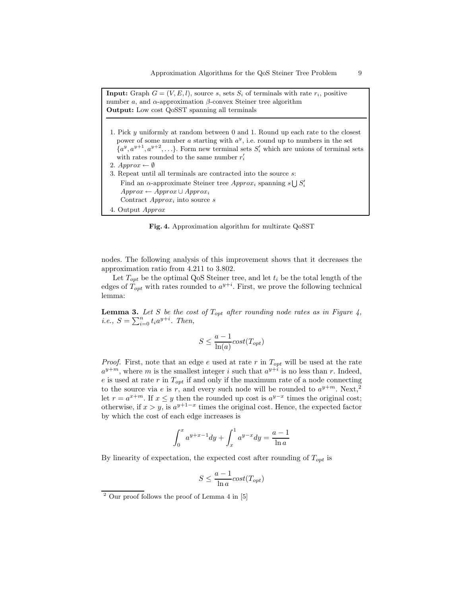| <b>Input:</b> Graph $G = (V, E, l)$ , source s, sets $S_i$ of terminals with rate $r_i$ , positive<br>number a, and $\alpha$ -approximation $\beta$ -convex Steiner tree algorithm<br><b>Output:</b> Low cost QoSST spanning all terminals                                                                                                                                                                                                                                                                                                                                   |
|------------------------------------------------------------------------------------------------------------------------------------------------------------------------------------------------------------------------------------------------------------------------------------------------------------------------------------------------------------------------------------------------------------------------------------------------------------------------------------------------------------------------------------------------------------------------------|
| 1. Pick y uniformly at random between 0 and 1. Round up each rate to the closest<br>power of some number a starting with $a^y$ , i.e. round up to numbers in the set<br>$\{a^y, a^{y+1}, a^{y+2}, \ldots\}$ . Form new terminal sets $S'_i$ which are unions of terminal sets<br>with rates rounded to the same number $r_i'$<br>2. $Approx \leftarrow \emptyset$<br>3. Repeat until all terminals are contracted into the source s:<br>Find an $\alpha$ -approximate Steiner tree Approx <sub>i</sub> spanning s $\bigcup S_i'$<br>$Approx \leftarrow Approx \cup Approx_i$ |
| Contract $Approx_i$ into source s                                                                                                                                                                                                                                                                                                                                                                                                                                                                                                                                            |
| 4. Output <i>Approx</i>                                                                                                                                                                                                                                                                                                                                                                                                                                                                                                                                                      |

**Fig. 4.** Approximation algorithm for multirate QoSST

nodes. The following analysis of this improvement shows that it decreases the approximation ratio from 4.211 to 3.802.

Let  $T_{opt}$  be the optimal QoS Steiner tree, and let  $t_i$  be the total length of the edges of  $\hat{T}_{opt}$  with rates rounded to  $a^{y+i}$ . First, we prove the following technical lemma:

**Lemma 3.** Let S be the cost of  $T_{opt}$  after rounding node rates as in Figure 4, *i.e.*,  $S = \sum_{i=0}^{n} t_i a^{y+i}$ *. Then,* 

$$
S \le \frac{a-1}{\ln(a)} cost(T_{opt})
$$

*Proof.* First, note that an edge  $e$  used at rate  $r$  in  $T_{opt}$  will be used at the rate  $a^{y+m}$ , where m is the smallest integer i such that  $a^{y+i}$  is no less than r. Indeed, e is used at rate r in  $T_{opt}$  if and only if the maximum rate of a node connecting to the source via e is r, and every such node will be rounded to  $a^{y+m}$ . Next,<sup>2</sup> let  $r = a^{x+m}$ . If  $x \leq y$  then the rounded up cost is  $a^{y-x}$  times the original cost; otherwise, if  $x>y$ , is  $a^{y+1-x}$  times the original cost. Hence, the expected factor by which the cost of each edge increases is

$$
\int_0^x a^{y+x-1} dy + \int_x^1 a^{y-x} dy = \frac{a-1}{\ln a}
$$

By linearity of expectation, the expected cost after rounding of  $T_{opt}$  is

$$
S \le \frac{a-1}{\ln a} cost(T_{opt})
$$

<sup>2</sup> Our proof follows the proof of Lemma 4 in [5]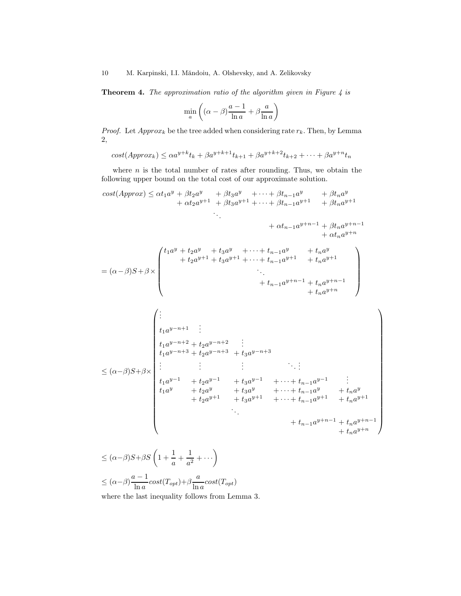10 M. Karpinski, I.I. Măndoiu, A. Olshevsky, and A. Zelikovsky

**Theorem 4.** *The approximation ratio of the algorithm given in Figure 4 is*

$$
\min_{a} \left( (\alpha - \beta) \frac{a - 1}{\ln a} + \beta \frac{a}{\ln a} \right)
$$

*Proof.* Let  $Approx_k$  be the tree added when considering rate  $r_k$ . Then, by Lemma 2,

 $cost(Approx_k) \leq \alpha a^{y+k}t_k + \beta a^{y+k+1}t_{k+1} + \beta a^{y+k+2}t_{k+2} + \cdots + \beta a^{y+n}t_n$ 

where  $n$  is the total number of rates after rounding. Thus, we obtain the following upper bound on the total cost of our approximate solution.

$$
cost(Approx) \leq \alpha t_1 a^y + \beta t_2 a^y + \beta t_3 a^y + \cdots + \beta t_{n-1} a^y + \beta t_n a^y
$$
  
+  $\alpha t_2 a^{y+1} + \beta t_3 a^{y+1} + \cdots + \beta t_{n-1} a^{y+1} + \beta t_n a^{y+1}$   
+  $\alpha t_{n-1} a^{y+n-1} + \beta t_n a^{y+n-1}$   
+  $\alpha t_n a^{y+n}$   
=  $(\alpha - \beta)S + \beta \times$   

$$
\begin{pmatrix} t_1 a^y + t_2 a^y + t_3 a^y + \cdots + t_{n-1} a^y + t_n a^y \\ + t_2 a^{y+1} + t_3 a^{y+1} + \cdots + t_{n-1} a^{y+1} + t_n a^{y+1} \\ \vdots \\ t_1 a^{y+n+1} & \vdots \\ t_1 a^{y-n+1} & \vdots \\ t_1 a^{y-n+2} + t_2 a^{y-n+2} & \vdots \\ t_1 a^{y-n+3} + t_2 a^{y-n+3} + t_3 a^{y-n+3} \end{pmatrix}
$$
  

$$
\leq (\alpha - \beta)S + \beta \times
$$
  

$$
\begin{pmatrix} \vdots & \vdots & \vdots & \vdots \\ t_1 a^{y-n+3} + t_2 a^{y-n+3} & \vdots \\ t_1 a^{y-n+1} + t_3 a^{y-n+1} & \vdots \\ t_1 a^{y-n} + t_2 a^{y-n} + t_3 a^{y-n} & \cdots + t_{n-1} a^{y-n} + t_n a^{y} \\ + t_2 a^{y+1} + t_3 a^{y+1} & \cdots + t_{n-1} a^{y+n} + t_n a^{y+n} \\ + t_{n-1} a^{y+n-1} + t_n a^{y+n-1} \end{pmatrix}
$$

 $\setminus$ 

 $\leq (\alpha-\beta)S+\beta S\left(1+\frac{1}{\alpha}\right)$  $\frac{1}{a} + \frac{1}{a^2} + \cdots$  $\leq (\alpha-\beta)\frac{a-1}{1}$  $\frac{d}{d\ln a} cost(T_{opt}) + \beta \frac{a}{\ln a} cost(T_{opt})$ where the last inequality follows from Lemma 3.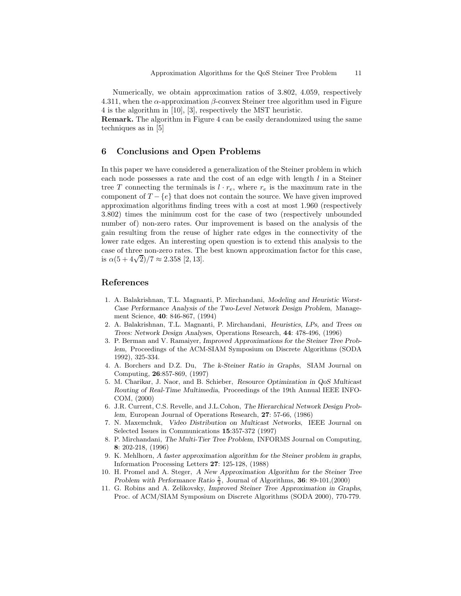Numerically, we obtain approximation ratios of 3.802, 4.059, respectively 4.311, when the  $\alpha$ -approximation  $\beta$ -convex Steiner tree algorithm used in Figure 4 is the algorithm in [10], [3], respectively the MST heuristic.

**Remark.** The algorithm in Figure 4 can be easily derandomized using the same techniques as in [5]

#### **6 Conclusions and Open Problems**

In this paper we have considered a generalization of the Steiner problem in which each node possesses a rate and the cost of an edge with length  $l$  in a Steiner tree T connecting the terminals is  $l \cdot r_e$ , where  $r_e$  is the maximum rate in the component of  $T - \{e\}$  that does not contain the source. We have given improved approximation algorithms finding trees with a cost at most 1.960 (respectively 3.802) times the minimum cost for the case of two (respectively unbounded number of) non-zero rates. Our improvement is based on the analysis of the gain resulting from the reuse of higher rate edges in the connectivity of the lower rate edges. An interesting open question is to extend this analysis to the case of three non-zero rates. The best known approximation factor for this case, case or three non-zero rates. 1 n<br>is  $\alpha(5+4\sqrt{2})/7 \approx 2.358$  [2, 13].

#### **References**

- 1. A. Balakrishnan, T.L. Magnanti, P. Mirchandani, *Modeling and Heuristic Worst-Case Performance Analysis of the Two-Level Network Design Problem*, Management Science, **40**: 846-867, (1994)
- 2. A. Balakrishnan, T.L. Magnanti, P. Mirchandani, *Heuristics, LPs, and Trees on Trees: Network Design Analyses*, Operations Research, **44**: 478-496, (1996)
- 3. P. Berman and V. Ramaiyer, *Improved Approximations for the Steiner Tree Problem*, Proceedings of the ACM-SIAM Symposium on Discrete Algorithms (SODA 1992), 325-334.
- 4. A. Borchers and D.Z. Du, *The k-Steiner Ratio in Graphs*, SIAM Journal on Computing, **26**:857-869, (1997)
- 5. M. Charikar, J. Naor, and B. Schieber, *Resource Optimization in QoS Multicast Routing of Real-Time Multimedia*, Proceedings of the 19th Annual IEEE INFO-COM, (2000)
- 6. J.R. Current, C.S. Revelle, and J.L.Cohon, *The Hierarchical Network Design Problem*, European Journal of Operations Research, **27**: 57-66, (1986)
- 7. N. Maxemchuk, *Video Distribution on Multicast Networks*, IEEE Journal on Selected Issues in Communications **15**:357-372 (1997)
- 8. P. Mirchandani, *The Multi-Tier Tree Problem*, INFORMS Journal on Computing, **8**: 202-218, (1996)
- 9. K. Mehlhorn, *A faster approximation algorithm for the Steiner problem in graphs*, Information Processing Letters **27**: 125-128, (1988)
- 10. H. Promel and A. Steger, *A New Approximation Algorithm for the Steiner Tree Problem with Performance Ratio*  $\frac{5}{3}$ , Journal of Algorithms, **36**: 89-101,(2000)<br>C. Bobins and A. Zolikovsky, *Improved Steiner Tree Approximation in Gra*
- 11. G. Robins and A. Zelikovsky, *Improved Steiner Tree Approximation in Graphs*, Proc. of ACM/SIAM Symposium on Discrete Algorithms (SODA 2000), 770-779.